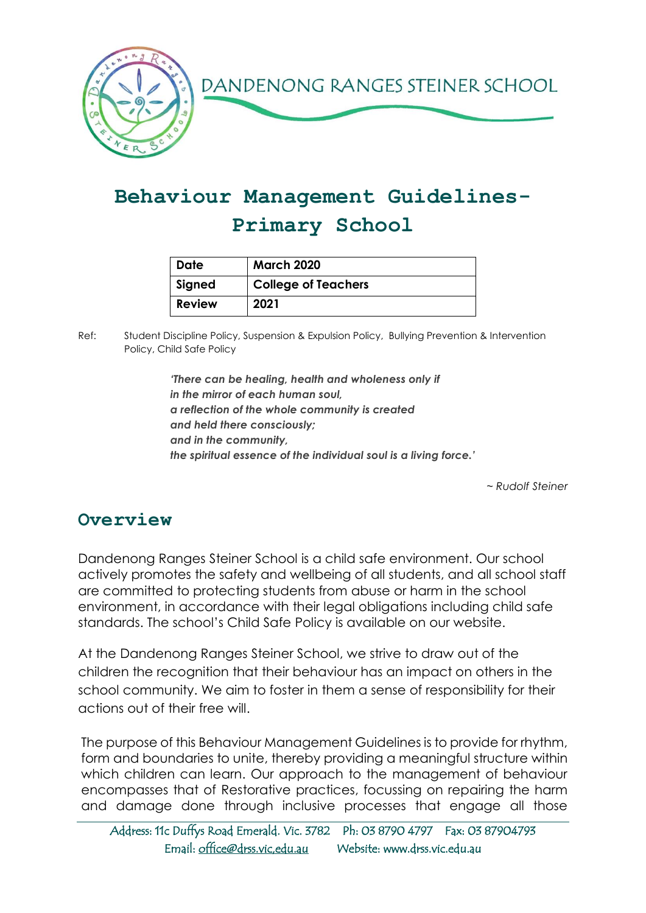

# **Behaviour Management Guidelines-Primary School**

| <b>Date</b> | <b>March 2020</b>          |
|-------------|----------------------------|
| Signed      | <b>College of Teachers</b> |
| Review      | 2021                       |

Ref: Student Discipline Policy, Suspension & Expulsion Policy, Bullying Prevention & Intervention Policy, Child Safe Policy

> *'There can be healing, health and wholeness only if in the mirror of each human soul, a reflection of the whole community is created and held there consciously; and in the community, the spiritual essence of the individual soul is a living force.'*

> > *~ Rudolf Steiner*

#### **Overview**

Dandenong Ranges Steiner School is a child safe environment. Our school actively promotes the safety and wellbeing of all students, and all school staff are committed to protecting students from abuse or harm in the school environment, in accordance with their legal obligations including child safe standards. The school's Child Safe Policy is available on our website.

At the Dandenong Ranges Steiner School, we strive to draw out of the children the recognition that their behaviour has an impact on others in the school community. We aim to foster in them a sense of responsibility for their actions out of their free will.

The purpose of this Behaviour Management Guidelines is to provide for rhythm, form and boundaries to unite, thereby providing a meaningful structure within which children can learn. Our approach to the management of behaviour encompasses that of Restorative practices, focussing on repairing the harm and damage done through inclusive processes that engage all those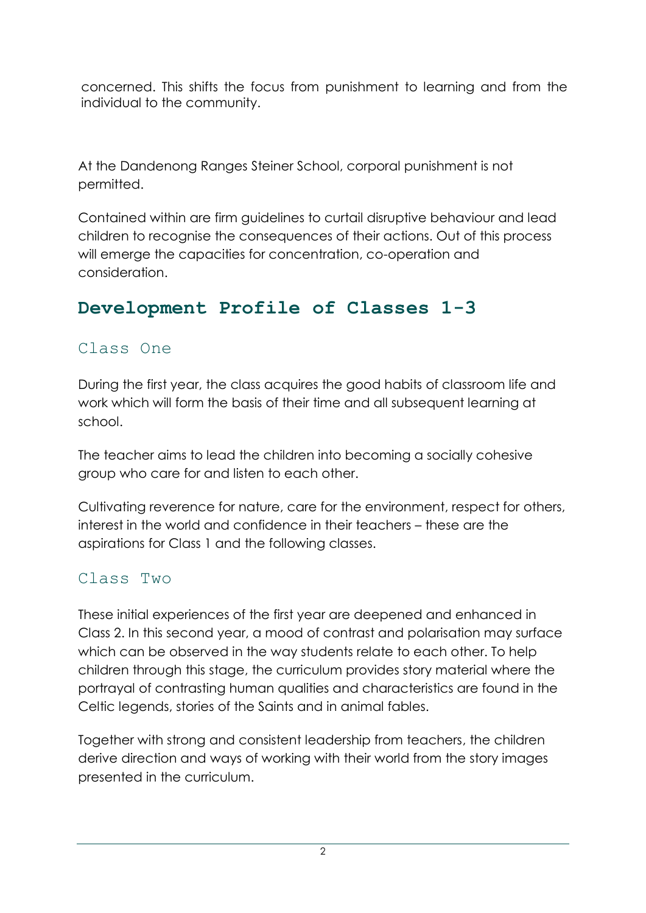concerned. This shifts the focus from punishment to learning and from the individual to the community.

At the Dandenong Ranges Steiner School, corporal punishment is not permitted.

Contained within are firm guidelines to curtail disruptive behaviour and lead children to recognise the consequences of their actions. Out of this process will emerge the capacities for concentration, co-operation and consideration.

## **Development Profile of Classes 1-3**

### Class One

During the first year, the class acquires the good habits of classroom life and work which will form the basis of their time and all subsequent learning at school.

The teacher aims to lead the children into becoming a socially cohesive group who care for and listen to each other.

Cultivating reverence for nature, care for the environment, respect for others, interest in the world and confidence in their teachers – these are the aspirations for Class 1 and the following classes.

## Class Two

These initial experiences of the first year are deepened and enhanced in Class 2. In this second year, a mood of contrast and polarisation may surface which can be observed in the way students relate to each other. To help children through this stage, the curriculum provides story material where the portrayal of contrasting human qualities and characteristics are found in the Celtic legends, stories of the Saints and in animal fables.

Together with strong and consistent leadership from teachers, the children derive direction and ways of working with their world from the story images presented in the curriculum.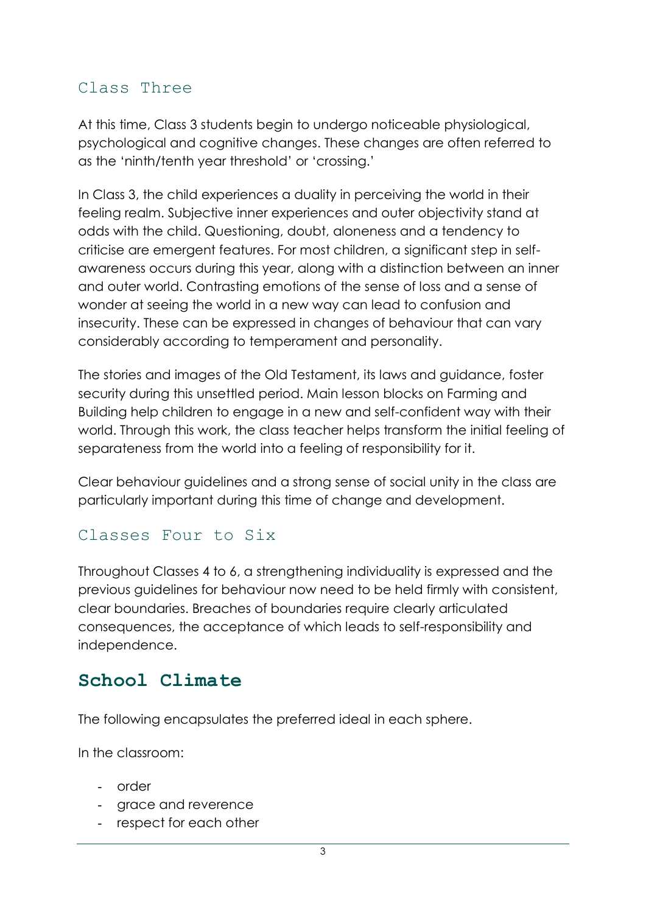### Class Three

At this time, Class 3 students begin to undergo noticeable physiological, psychological and cognitive changes. These changes are often referred to as the 'ninth/tenth year threshold' or 'crossing.'

In Class 3, the child experiences a duality in perceiving the world in their feeling realm. Subjective inner experiences and outer objectivity stand at odds with the child. Questioning, doubt, aloneness and a tendency to criticise are emergent features. For most children, a significant step in selfawareness occurs during this year, along with a distinction between an inner and outer world. Contrasting emotions of the sense of loss and a sense of wonder at seeing the world in a new way can lead to confusion and insecurity. These can be expressed in changes of behaviour that can vary considerably according to temperament and personality.

The stories and images of the Old Testament, its laws and guidance, foster security during this unsettled period. Main lesson blocks on Farming and Building help children to engage in a new and self-confident way with their world. Through this work, the class teacher helps transform the initial feeling of separateness from the world into a feeling of responsibility for it.

Clear behaviour guidelines and a strong sense of social unity in the class are particularly important during this time of change and development.

#### Classes Four to Six

Throughout Classes 4 to 6, a strengthening individuality is expressed and the previous guidelines for behaviour now need to be held firmly with consistent, clear boundaries. Breaches of boundaries require clearly articulated consequences, the acceptance of which leads to self-responsibility and independence.

## **School Climate**

The following encapsulates the preferred ideal in each sphere.

In the classroom:

- order
- grace and reverence
- respect for each other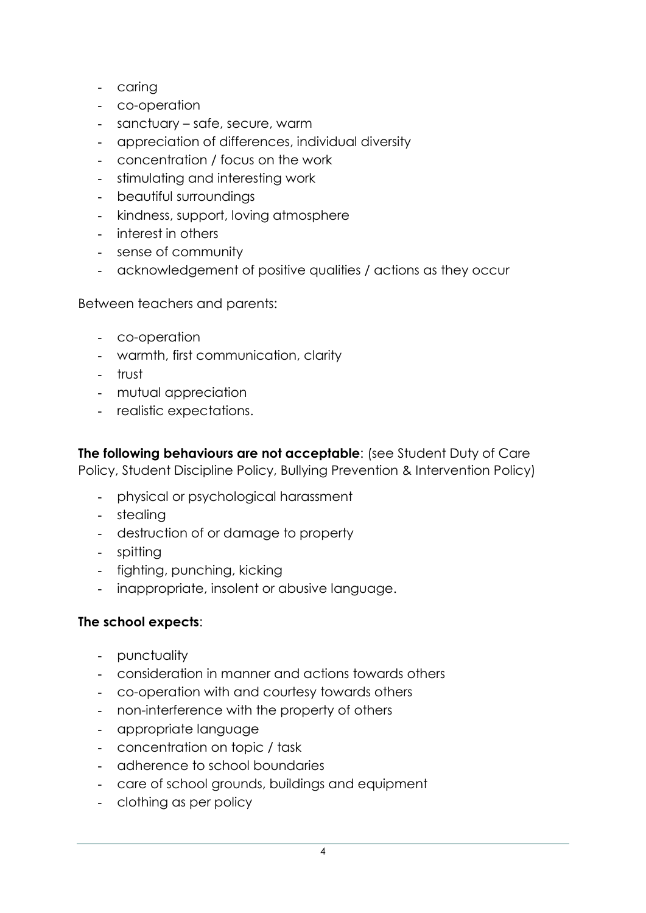- caring
- co-operation
- sanctuary safe, secure, warm
- appreciation of differences, individual diversity
- concentration / focus on the work
- stimulating and interesting work
- beautiful surroundings
- kindness, support, loving atmosphere
- interest in others
- sense of community
- acknowledgement of positive qualities / actions as they occur

Between teachers and parents:

- co-operation
- warmth, first communication, clarity
- trust
- mutual appreciation
- realistic expectations.

**The following behaviours are not acceptable**: (see Student Duty of Care Policy, Student Discipline Policy, Bullying Prevention & Intervention Policy)

- physical or psychological harassment
- stealing
- destruction of or damage to property
- spitting
- fighting, punching, kicking
- inappropriate, insolent or abusive language.

#### **The school expects**:

- punctuality
- consideration in manner and actions towards others
- co-operation with and courtesy towards others
- non-interference with the property of others
- appropriate language
- concentration on topic / task
- adherence to school boundaries
- care of school grounds, buildings and equipment
- clothing as per policy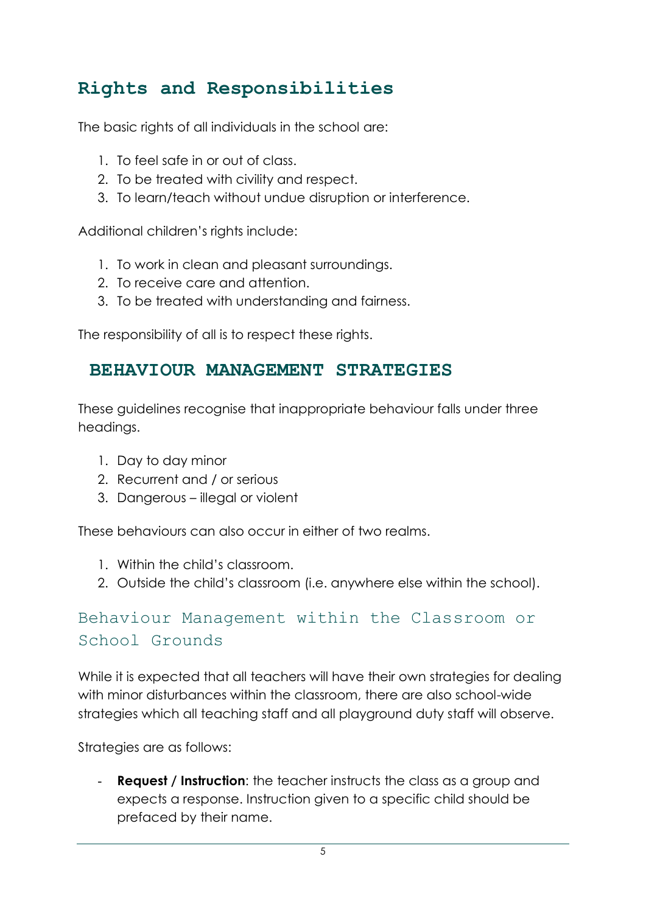## **Rights and Responsibilities**

The basic rights of all individuals in the school are:

- 1. To feel safe in or out of class.
- 2. To be treated with civility and respect.
- 3. To learn/teach without undue disruption or interference.

Additional children's rights include:

- 1. To work in clean and pleasant surroundings.
- 2. To receive care and attention.
- 3. To be treated with understanding and fairness.

The responsibility of all is to respect these rights.

### **BEHAVIOUR MANAGEMENT STRATEGIES**

These guidelines recognise that inappropriate behaviour falls under three headings.

- 1. Day to day minor
- 2. Recurrent and / or serious
- 3. Dangerous illegal or violent

These behaviours can also occur in either of two realms.

- 1. Within the child's classroom.
- 2. Outside the child's classroom (i.e. anywhere else within the school).

## Behaviour Management within the Classroom or School Grounds

While it is expected that all teachers will have their own strategies for dealing with minor disturbances within the classroom, there are also school-wide strategies which all teaching staff and all playground duty staff will observe.

Strategies are as follows:

- **Request / Instruction**: the teacher instructs the class as a group and expects a response. Instruction given to a specific child should be prefaced by their name.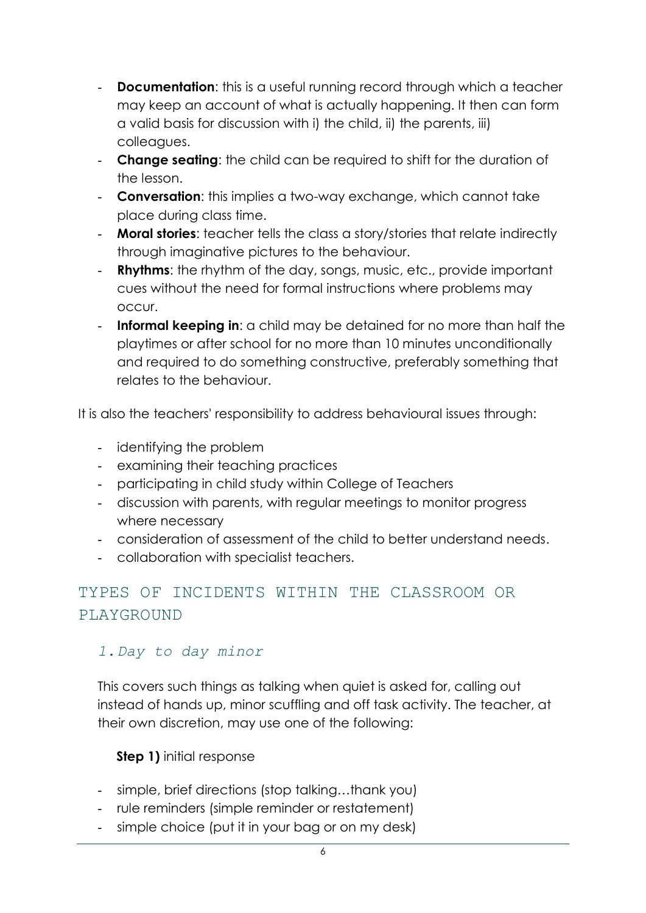- **Documentation**: this is a useful running record through which a teacher may keep an account of what is actually happening. It then can form a valid basis for discussion with i) the child, ii) the parents, iii) colleagues.
- **Change seating**: the child can be required to shift for the duration of the lesson.
- **Conversation**: this implies a two-way exchange, which cannot take place during class time.
- **Moral stories**: teacher tells the class a story/stories that relate indirectly through imaginative pictures to the behaviour.
- **Rhythms**: the rhythm of the day, songs, music, etc., provide important cues without the need for formal instructions where problems may occur.
- **Informal keeping in**: a child may be detained for no more than half the playtimes or after school for no more than 10 minutes unconditionally and required to do something constructive, preferably something that relates to the behaviour.

It is also the teachers' responsibility to address behavioural issues through:

- identifying the problem
- examining their teaching practices
- participating in child study within College of Teachers
- discussion with parents, with regular meetings to monitor progress where necessary
- consideration of assessment of the child to better understand needs.
- collaboration with specialist teachers.

## TYPES OF INCIDENTS WITHIN THE CLASSROOM OR PLAYGROUND

#### *1.Day to day minor*

This covers such things as talking when quiet is asked for, calling out instead of hands up, minor scuffling and off task activity. The teacher, at their own discretion, may use one of the following:

#### **Step 1)** initial response

- simple, brief directions (stop talking…thank you)
- rule reminders (simple reminder or restatement)
- simple choice (put it in your bag or on my desk)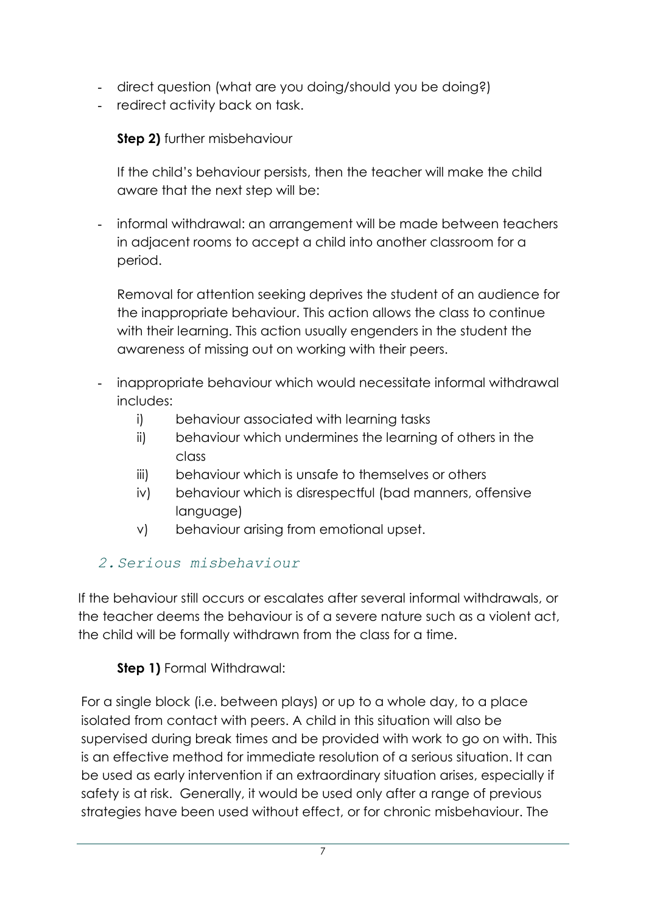- direct question (what are you doing/should you be doing?)
- redirect activity back on task.

#### **Step 2)** further misbehaviour

If the child's behaviour persists, then the teacher will make the child aware that the next step will be:

- informal withdrawal: an arrangement will be made between teachers in adjacent rooms to accept a child into another classroom for a period.

Removal for attention seeking deprives the student of an audience for the inappropriate behaviour. This action allows the class to continue with their learning. This action usually engenders in the student the awareness of missing out on working with their peers.

- inappropriate behaviour which would necessitate informal withdrawal includes:
	- i) behaviour associated with learning tasks
	- ii) behaviour which undermines the learning of others in the class
	- iii) behaviour which is unsafe to themselves or others
	- iv) behaviour which is disrespectful (bad manners, offensive language)
	- v) behaviour arising from emotional upset.

#### *2.Serious misbehaviour*

If the behaviour still occurs or escalates after several informal withdrawals, or the teacher deems the behaviour is of a severe nature such as a violent act, the child will be formally withdrawn from the class for a time.

### **Step 1)** Formal Withdrawal:

For a single block (i.e. between plays) or up to a whole day, to a place isolated from contact with peers. A child in this situation will also be supervised during break times and be provided with work to go on with. This is an effective method for immediate resolution of a serious situation. It can be used as early intervention if an extraordinary situation arises, especially if safety is at risk. Generally, it would be used only after a range of previous strategies have been used without effect, or for chronic misbehaviour. The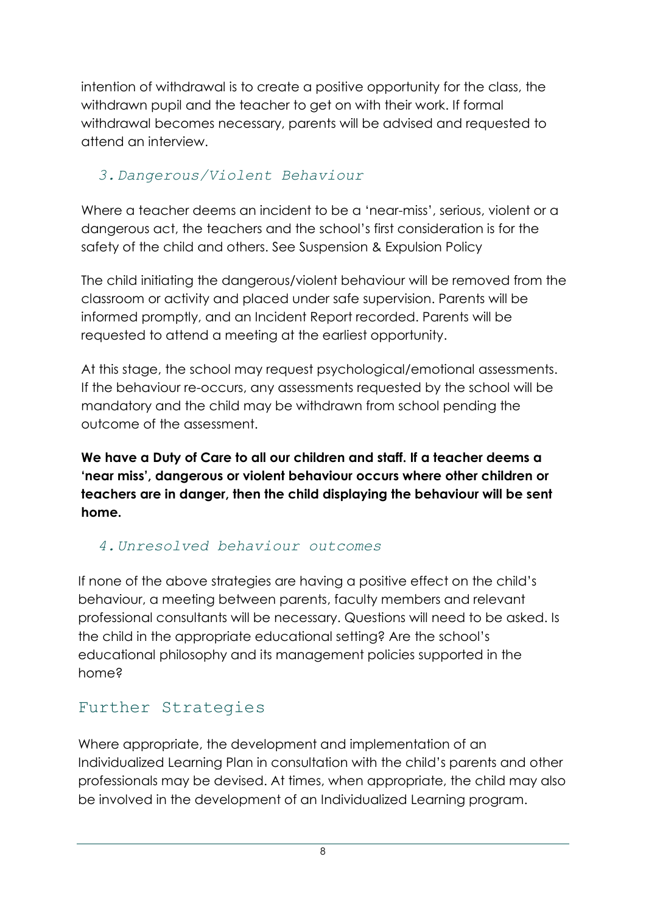intention of withdrawal is to create a positive opportunity for the class, the withdrawn pupil and the teacher to get on with their work. If formal withdrawal becomes necessary, parents will be advised and requested to attend an interview.

### *3.Dangerous/Violent Behaviour*

Where a teacher deems an incident to be a 'near-miss', serious, violent or a dangerous act, the teachers and the school's first consideration is for the safety of the child and others. See Suspension & Expulsion Policy

The child initiating the dangerous/violent behaviour will be removed from the classroom or activity and placed under safe supervision. Parents will be informed promptly, and an Incident Report recorded. Parents will be requested to attend a meeting at the earliest opportunity.

At this stage, the school may request psychological/emotional assessments. If the behaviour re-occurs, any assessments requested by the school will be mandatory and the child may be withdrawn from school pending the outcome of the assessment.

**We have a Duty of Care to all our children and staff. If a teacher deems a 'near miss', dangerous or violent behaviour occurs where other children or teachers are in danger, then the child displaying the behaviour will be sent home.**

#### *4.Unresolved behaviour outcomes*

If none of the above strategies are having a positive effect on the child's behaviour, a meeting between parents, faculty members and relevant professional consultants will be necessary. Questions will need to be asked. Is the child in the appropriate educational setting? Are the school's educational philosophy and its management policies supported in the home?

## Further Strategies

Where appropriate, the development and implementation of an Individualized Learning Plan in consultation with the child's parents and other professionals may be devised. At times, when appropriate, the child may also be involved in the development of an Individualized Learning program.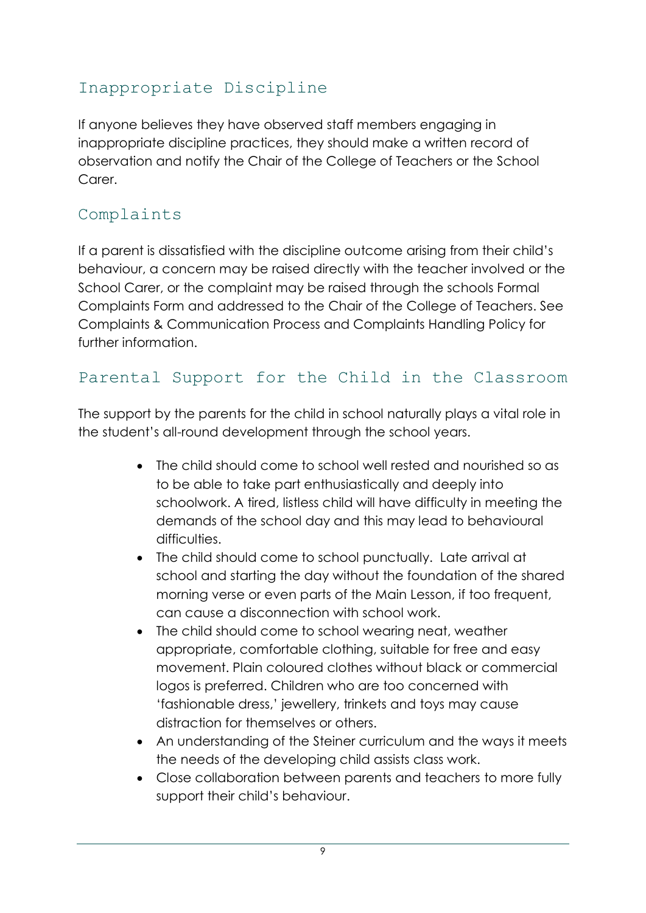## Inappropriate Discipline

If anyone believes they have observed staff members engaging in inappropriate discipline practices, they should make a written record of observation and notify the Chair of the College of Teachers or the School Carer.

## Complaints

If a parent is dissatisfied with the discipline outcome arising from their child's behaviour, a concern may be raised directly with the teacher involved or the School Carer, or the complaint may be raised through the schools Formal Complaints Form and addressed to the Chair of the College of Teachers. See Complaints & Communication Process and Complaints Handling Policy for further information.

## Parental Support for the Child in the Classroom

The support by the parents for the child in school naturally plays a vital role in the student's all-round development through the school years.

- The child should come to school well rested and nourished so as to be able to take part enthusiastically and deeply into schoolwork. A tired, listless child will have difficulty in meeting the demands of the school day and this may lead to behavioural difficulties.
- The child should come to school punctually. Late arrival at school and starting the day without the foundation of the shared morning verse or even parts of the Main Lesson, if too frequent, can cause a disconnection with school work.
- The child should come to school wearing neat, weather appropriate, comfortable clothing, suitable for free and easy movement. Plain coloured clothes without black or commercial logos is preferred. Children who are too concerned with 'fashionable dress,' jewellery, trinkets and toys may cause distraction for themselves or others.
- An understanding of the Steiner curriculum and the ways it meets the needs of the developing child assists class work.
- Close collaboration between parents and teachers to more fully support their child's behaviour.